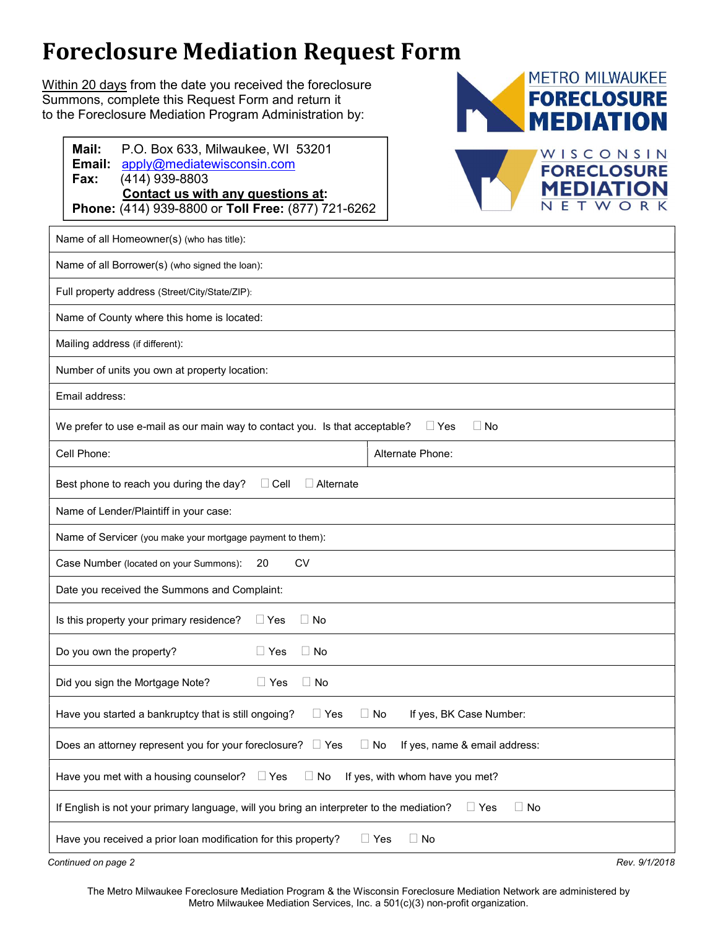## Foreclosure Mediation Request Form

Within 20 days from the date you received the foreclosure Summons, complete this Request Form and return it to the Foreclosure Mediation Program Administration by:





| Name of all Homeowner(s) (who has title):                                                                           |                  |  |
|---------------------------------------------------------------------------------------------------------------------|------------------|--|
| Name of all Borrower(s) (who signed the loan):                                                                      |                  |  |
| Full property address (Street/City/State/ZIP):                                                                      |                  |  |
| Name of County where this home is located:                                                                          |                  |  |
| Mailing address (if different):                                                                                     |                  |  |
| Number of units you own at property location:                                                                       |                  |  |
| Email address:                                                                                                      |                  |  |
| We prefer to use e-mail as our main way to contact you. Is that acceptable?<br>$\Box$ Yes<br>$\Box$ No              |                  |  |
| Cell Phone:                                                                                                         | Alternate Phone: |  |
| Best phone to reach you during the day?<br>$\Box$ Alternate<br>$\Box$ Cell                                          |                  |  |
| Name of Lender/Plaintiff in your case:                                                                              |                  |  |
| Name of Servicer (you make your mortgage payment to them):                                                          |                  |  |
| <b>CV</b><br>Case Number (located on your Summons):<br>20                                                           |                  |  |
| Date you received the Summons and Complaint:                                                                        |                  |  |
| Is this property your primary residence?<br>$\Box$ Yes<br>$\Box$ No                                                 |                  |  |
| Do you own the property?<br>$\Box$ Yes<br>$\Box$ No                                                                 |                  |  |
| Did you sign the Mortgage Note?<br>$\Box$ No<br>$\Box$ Yes                                                          |                  |  |
| Have you started a bankruptcy that is still ongoing?<br>If yes, BK Case Number:<br>$\Box$ Yes<br>$\Box$ No          |                  |  |
| Does an attorney represent you for your foreclosure?<br>$\Box$ Yes<br>No<br>If yes, name & email address:<br>$\Box$ |                  |  |
| Have you met with a housing counselor?<br>$\Box$ No<br>If yes, with whom have you met?<br>$\Box$ Yes                |                  |  |
| If English is not your primary language, will you bring an interpreter to the mediation?<br>$\Box$ No<br>$\Box$ Yes |                  |  |
| $\Box$ No<br>Have you received a prior loan modification for this property?<br>$\Box$ Yes                           |                  |  |
| Continued on page 2<br>Rev. 9/1/2018                                                                                |                  |  |

The Metro Milwaukee Foreclosure Mediation Program & the Wisconsin Foreclosure Mediation Network are administered by Metro Milwaukee Mediation Services, Inc. a 501(c)(3) non-profit organization.